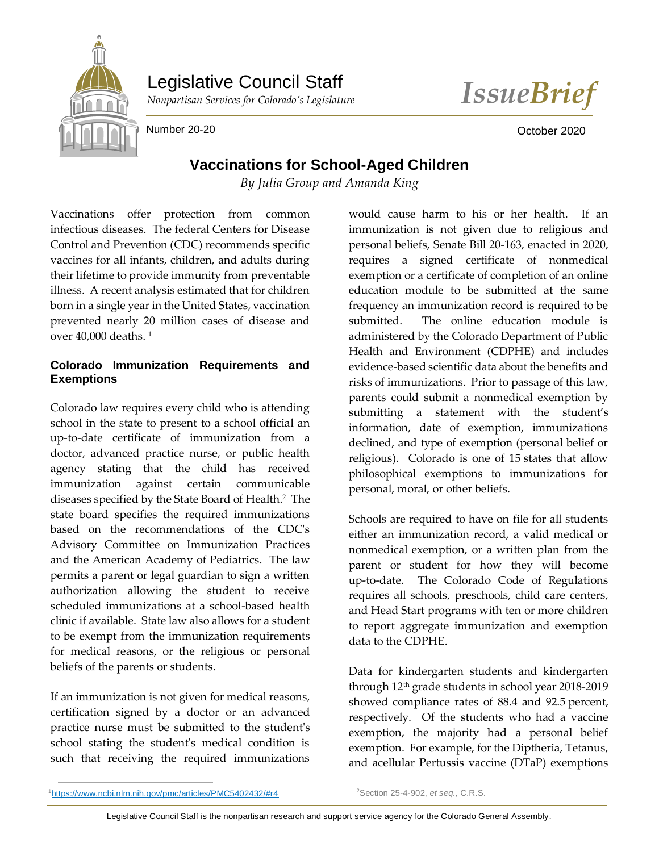

# Legislative Council Staff



Number 20-20 **October 2020 October 2020** 

# **Vaccinations for School-Aged Children**

*By Julia Group and Amanda King*

Vaccinations offer protection from common infectious diseases. The federal Centers for Disease Control and Prevention (CDC) recommends specific vaccines for all infants, children, and adults during their lifetime to provide immunity from preventable illness. A recent analysis estimated that for children born in a single year in the United States, vaccination prevented nearly 20 million cases of disease and over  $40,000$  deaths.<sup>1</sup>

## **Colorado Immunization Requirements and Exemptions**

Colorado law requires every child who is attending school in the state to present to a school official an up-to-date certificate of immunization from a doctor, advanced practice nurse, or public health agency stating that the child has received immunization against certain communicable diseases specified by the State Board of Health.<sup>2</sup> The state board specifies the required immunizations based on the recommendations of the CDC's Advisory Committee on Immunization Practices and the American Academy of Pediatrics. The law permits a parent or legal guardian to sign a written authorization allowing the student to receive scheduled immunizations at a school-based health clinic if available. State law also allows for a student to be exempt from the immunization requirements for medical reasons, or the religious or personal beliefs of the parents or students.

If an immunization is not given for medical reasons, certification signed by a doctor or an advanced practice nurse must be submitted to the student's school stating the student's medical condition is such that receiving the required immunizations

would cause harm to his or her health. If an immunization is not given due to religious and personal beliefs, Senate Bill 20-163, enacted in 2020, requires a signed certificate of nonmedical exemption or a certificate of completion of an online education module to be submitted at the same frequency an immunization record is required to be submitted. The online education module is administered by the Colorado Department of Public Health and Environment (CDPHE) and includes evidence-based scientific data about the benefits and risks of immunizations. Prior to passage of this law, parents could submit a nonmedical exemption by submitting a statement with the student's information, date of exemption, immunizations declined, and type of exemption (personal belief or religious). Colorado is one of 15 states that allow philosophical exemptions to immunizations for personal, moral, or other beliefs.

Schools are required to have on file for all students either an immunization record, a valid medical or nonmedical exemption, or a written plan from the parent or student for how they will become up-to-date. The Colorado Code of Regulations requires all schools, preschools, child care centers, and Head Start programs with ten or more children to report aggregate immunization and exemption data to the CDPHE.

Data for kindergarten students and kindergarten through 12th grade students in school year 2018-2019 showed compliance rates of 88.4 and 92.5 percent, respectively. Of the students who had a vaccine exemption, the majority had a personal belief exemption. For example, for the Diptheria, Tetanus, and acellular Pertussis vaccine (DTaP) exemptions

 $\overline{a}$ 

<sup>2</sup>Section 25-4-902, *et seq.,* C.R.S.

Legislative Council Staff is the nonpartisan research and support service agency for the Colorado General Assembly.

<sup>1</sup><https://www.ncbi.nlm.nih.gov/pmc/articles/PMC5402432/#r4>